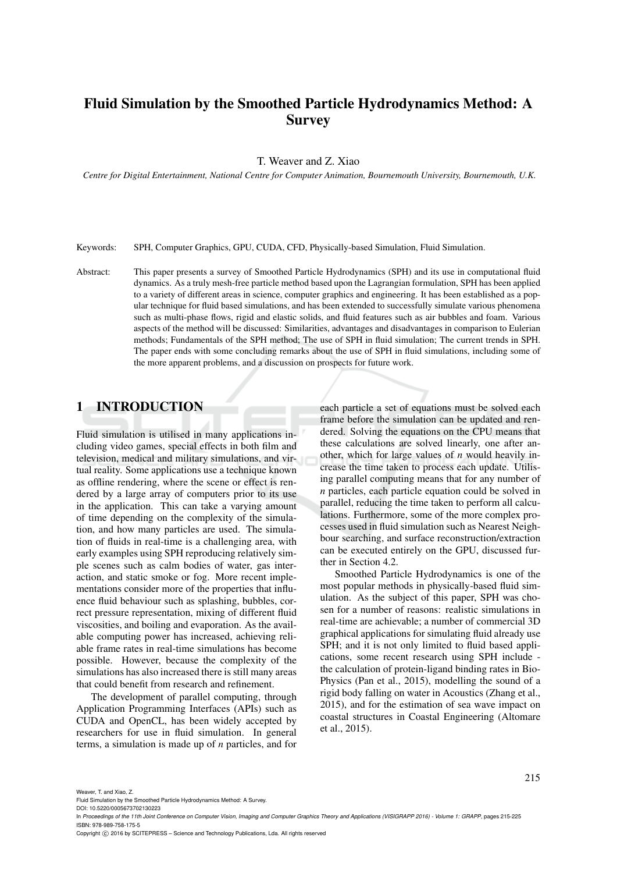# Fluid Simulation by the Smoothed Particle Hydrodynamics Method: A **Survey**

T. Weaver and Z. Xiao

*Centre for Digital Entertainment, National Centre for Computer Animation, Bournemouth University, Bournemouth, U.K.*

Keywords: SPH, Computer Graphics, GPU, CUDA, CFD, Physically-based Simulation, Fluid Simulation.

Abstract: This paper presents a survey of Smoothed Particle Hydrodynamics (SPH) and its use in computational fluid dynamics. As a truly mesh-free particle method based upon the Lagrangian formulation, SPH has been applied to a variety of different areas in science, computer graphics and engineering. It has been established as a popular technique for fluid based simulations, and has been extended to successfully simulate various phenomena such as multi-phase flows, rigid and elastic solids, and fluid features such as air bubbles and foam. Various aspects of the method will be discussed: Similarities, advantages and disadvantages in comparison to Eulerian methods; Fundamentals of the SPH method; The use of SPH in fluid simulation; The current trends in SPH. The paper ends with some concluding remarks about the use of SPH in fluid simulations, including some of the more apparent problems, and a discussion on prospects for future work.

## 1 INTRODUCTION

Fluid simulation is utilised in many applications including video games, special effects in both film and television, medical and military simulations, and virtual reality. Some applications use a technique known as offline rendering, where the scene or effect is rendered by a large array of computers prior to its use in the application. This can take a varying amount of time depending on the complexity of the simulation, and how many particles are used. The simulation of fluids in real-time is a challenging area, with early examples using SPH reproducing relatively simple scenes such as calm bodies of water, gas interaction, and static smoke or fog. More recent implementations consider more of the properties that influence fluid behaviour such as splashing, bubbles, correct pressure representation, mixing of different fluid viscosities, and boiling and evaporation. As the available computing power has increased, achieving reliable frame rates in real-time simulations has become possible. However, because the complexity of the simulations has also increased there is still many areas that could benefit from research and refinement.

The development of parallel computing, through Application Programming Interfaces (APIs) such as CUDA and OpenCL, has been widely accepted by researchers for use in fluid simulation. In general terms, a simulation is made up of *n* particles, and for each particle a set of equations must be solved each frame before the simulation can be updated and rendered. Solving the equations on the CPU means that these calculations are solved linearly, one after another, which for large values of *n* would heavily increase the time taken to process each update. Utilising parallel computing means that for any number of *n* particles, each particle equation could be solved in parallel, reducing the time taken to perform all calculations. Furthermore, some of the more complex processes used in fluid simulation such as Nearest Neighbour searching, and surface reconstruction/extraction can be executed entirely on the GPU, discussed further in Section 4.2.

Smoothed Particle Hydrodynamics is one of the most popular methods in physically-based fluid simulation. As the subject of this paper, SPH was chosen for a number of reasons: realistic simulations in real-time are achievable; a number of commercial 3D graphical applications for simulating fluid already use SPH; and it is not only limited to fluid based applications, some recent research using SPH include the calculation of protein-ligand binding rates in Bio-Physics (Pan et al., 2015), modelling the sound of a rigid body falling on water in Acoustics (Zhang et al., 2015), and for the estimation of sea wave impact on coastal structures in Coastal Engineering (Altomare et al., 2015).

Weaver, T. and Xiao, Z.

In *Proceedings of the 11th Joint Conference on Computer Vision, Imaging and Computer Graphics Theory and Applications (VISIGRAPP 2016) - Volume 1: GRAPP*, pages 215-225 ISBN: 978-989-758-175-5

Copyright (C) 2016 by SCITEPRESS - Science and Technology Publications, Lda. All rights reserved

Fluid Simulation by the Smoothed Particle Hydrodynamics Method: A Survey.

DOI: 10.5220/0005673702130223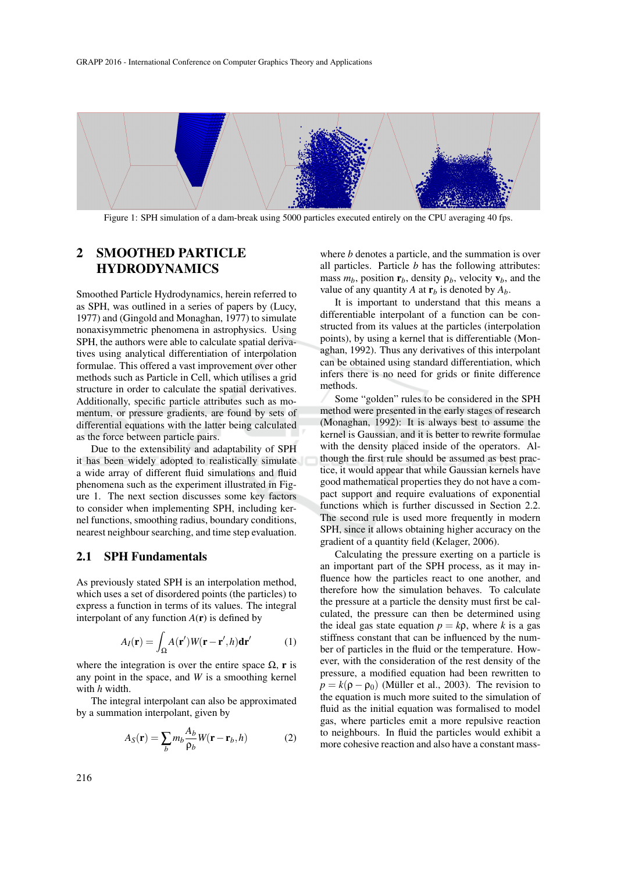

Figure 1: SPH simulation of a dam-break using 5000 particles executed entirely on the CPU averaging 40 fps.

## 2 SMOOTHED PARTICLE HYDRODYNAMICS

Smoothed Particle Hydrodynamics, herein referred to as SPH, was outlined in a series of papers by (Lucy, 1977) and (Gingold and Monaghan, 1977) to simulate nonaxisymmetric phenomena in astrophysics. Using SPH, the authors were able to calculate spatial derivatives using analytical differentiation of interpolation formulae. This offered a vast improvement over other methods such as Particle in Cell, which utilises a grid structure in order to calculate the spatial derivatives. Additionally, specific particle attributes such as momentum, or pressure gradients, are found by sets of differential equations with the latter being calculated as the force between particle pairs.

Due to the extensibility and adaptability of SPH it has been widely adopted to realistically simulate a wide array of different fluid simulations and fluid phenomena such as the experiment illustrated in Figure 1. The next section discusses some key factors to consider when implementing SPH, including kernel functions, smoothing radius, boundary conditions, nearest neighbour searching, and time step evaluation.

#### 2.1 SPH Fundamentals

As previously stated SPH is an interpolation method, which uses a set of disordered points (the particles) to express a function in terms of its values. The integral interpolant of any function  $A(r)$  is defined by

$$
A_I(\mathbf{r}) = \int_{\Omega} A(\mathbf{r}') W(\mathbf{r} - \mathbf{r}', h) \mathbf{dr}' \tag{1}
$$

where the integration is over the entire space  $\Omega$ , r is any point in the space, and *W* is a smoothing kernel with *h* width.

The integral interpolant can also be approximated by a summation interpolant, given by

$$
A_S(\mathbf{r}) = \sum_b m_b \frac{A_b}{\rho_b} W(\mathbf{r} - \mathbf{r}_b, h)
$$
 (2)

where *b* denotes a particle, and the summation is over all particles. Particle *b* has the following attributes: mass  $m_b$ , position  $\mathbf{r}_b$ , density  $\rho_b$ , velocity  $\mathbf{v}_b$ , and the value of any quantity *A* at  $\mathbf{r}_b$  is denoted by  $A_b$ .

It is important to understand that this means a differentiable interpolant of a function can be constructed from its values at the particles (interpolation points), by using a kernel that is differentiable (Monaghan, 1992). Thus any derivatives of this interpolant can be obtained using standard differentiation, which infers there is no need for grids or finite difference methods.

Some "golden" rules to be considered in the SPH method were presented in the early stages of research (Monaghan, 1992): It is always best to assume the kernel is Gaussian, and it is better to rewrite formulae with the density placed inside of the operators. Although the first rule should be assumed as best practice, it would appear that while Gaussian kernels have good mathematical properties they do not have a compact support and require evaluations of exponential functions which is further discussed in Section 2.2. The second rule is used more frequently in modern SPH, since it allows obtaining higher accuracy on the gradient of a quantity field (Kelager, 2006).

Calculating the pressure exerting on a particle is an important part of the SPH process, as it may influence how the particles react to one another, and therefore how the simulation behaves. To calculate the pressure at a particle the density must first be calculated, the pressure can then be determined using the ideal gas state equation  $p = k\rho$ , where *k* is a gas stiffness constant that can be influenced by the number of particles in the fluid or the temperature. However, with the consideration of the rest density of the pressure, a modified equation had been rewritten to  $p = k(\rho - \rho_0)$  (Müller et al., 2003). The revision to the equation is much more suited to the simulation of fluid as the initial equation was formalised to model gas, where particles emit a more repulsive reaction to neighbours. In fluid the particles would exhibit a more cohesive reaction and also have a constant mass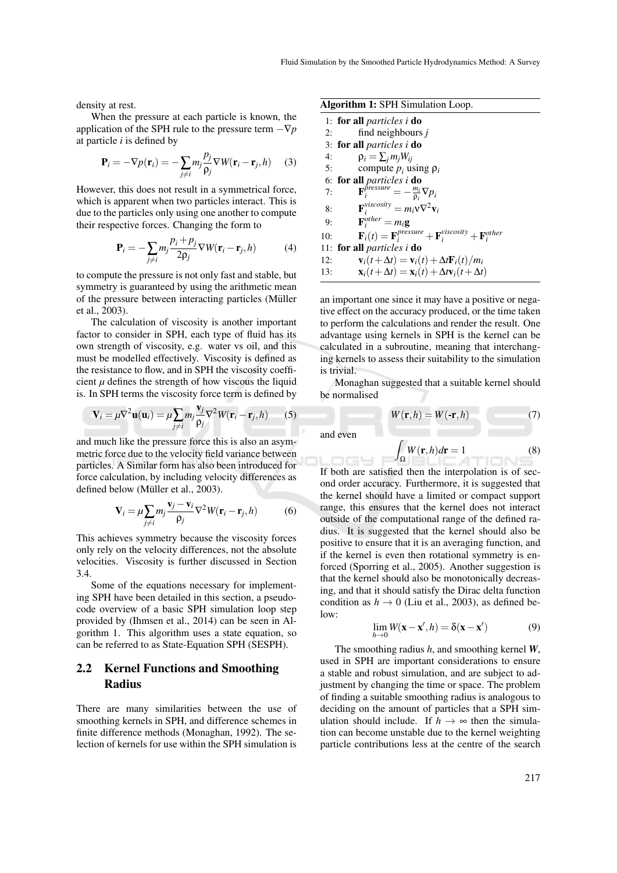density at rest.

When the pressure at each particle is known, the application of the SPH rule to the pressure term  $-\nabla p$ at particle *i* is defined by

$$
\mathbf{P}_i = -\nabla p(\mathbf{r}_i) = -\sum_{j \neq i} m_j \frac{p_j}{\rho_j} \nabla W(\mathbf{r}_i - \mathbf{r}_j, h)
$$
 (3)

However, this does not result in a symmetrical force, which is apparent when two particles interact. This is due to the particles only using one another to compute their respective forces. Changing the form to

$$
\mathbf{P}_{i} = -\sum_{j \neq i} m_{j} \frac{p_{i} + p_{j}}{2\mathbf{p}_{j}} \nabla W(\mathbf{r}_{i} - \mathbf{r}_{j}, h)
$$
(4)

to compute the pressure is not only fast and stable, but symmetry is guaranteed by using the arithmetic mean of the pressure between interacting particles (Müller et al., 2003).

The calculation of viscosity is another important factor to consider in SPH, each type of fluid has its own strength of viscosity, e.g. water vs oil, and this must be modelled effectively. Viscosity is defined as the resistance to flow, and in SPH the viscosity coefficient  $\mu$  defines the strength of how viscous the liquid is. In SPH terms the viscosity force term is defined by

$$
\mathbf{V}_i = \mu \nabla^2 \mathbf{u}(\mathbf{u}_i) = \mu \sum_{j \neq i} m_j \frac{\mathbf{v}_j}{\rho_j} \nabla^2 W(\mathbf{r}_i - \mathbf{r}_j, h) \tag{5}
$$

and much like the pressure force this is also an asymmetric force due to the velocity field variance between particles. A Similar form has also been introduced for force calculation, by including velocity differences as defined below (Müller et al., 2003).

$$
\mathbf{V}_i = \mu \sum_{j \neq i} m_j \frac{\mathbf{v}_j - \mathbf{v}_i}{\rho_j} \nabla^2 W(\mathbf{r}_i - \mathbf{r}_j, h) \tag{6}
$$

This achieves symmetry because the viscosity forces only rely on the velocity differences, not the absolute velocities. Viscosity is further discussed in Section 3.4.

Some of the equations necessary for implementing SPH have been detailed in this section, a pseudocode overview of a basic SPH simulation loop step provided by (Ihmsen et al., 2014) can be seen in Algorithm 1. This algorithm uses a state equation, so can be referred to as State-Equation SPH (SESPH).

## 2.2 Kernel Functions and Smoothing Radius

There are many similarities between the use of smoothing kernels in SPH, and difference schemes in finite difference methods (Monaghan, 1992). The selection of kernels for use within the SPH simulation is Algorithm 1: SPH Simulation Loop.

|     | 1: for all <i>particles i</i> do                                                              |
|-----|-----------------------------------------------------------------------------------------------|
| 2:  | find neighbours j                                                                             |
|     | 3: for all <i>particles i</i> do                                                              |
| 4:  | $\rho_i = \sum_j m_j W_{ij}$                                                                  |
| 5:  | compute $p_i$ using $\rho_i$                                                                  |
|     | 6: for all <i>particles i</i> do                                                              |
| 7:  | $\mathbf{F}_{i}^{\bar{p}ressure}=-\frac{m_{i}}{p_{i}}\nabla p_{i}$                            |
| 8:  | $\mathbf{F}_{i}^{viscosity} = m_{i} \mathbf{V} \nabla^{2} \mathbf{v}_{i}$                     |
| 9:  | $\mathbf{F}_{i}^{other} = m_{i}\mathbf{g}$                                                    |
| 10: | $\mathbf{F}_i(t) = \mathbf{F}_i^{pressure} + \mathbf{F}_i^{viscosity} + \mathbf{F}_i^{other}$ |
|     | 11: <b>for all</b> particles i <b>do</b>                                                      |
| 12: | $\mathbf{v}_i(t+\Delta t) = \mathbf{v}_i(t) + \Delta t \mathbf{F}_i(t)/m_i$                   |
| 13: | $\mathbf{x}_i(t+\Delta t) = \mathbf{x}_i(t) + \Delta t \mathbf{v}_i(t+\Delta t)$              |

an important one since it may have a positive or negative effect on the accuracy produced, or the time taken to perform the calculations and render the result. One advantage using kernels in SPH is the kernel can be calculated in a subroutine, meaning that interchanging kernels to assess their suitability to the simulation is trivial.

Monaghan suggested that a suitable kernel should be normalised

$$
W(\mathbf{r},h) = W(\mathbf{-r},h) \tag{7}
$$

and even

nas

$$
\int_{\Omega} W(\mathbf{r}, h) d\mathbf{r} = 1
$$
\n(8)

If both are satisfied then the interpolation is of second order accuracy. Furthermore, it is suggested that the kernel should have a limited or compact support range, this ensures that the kernel does not interact outside of the computational range of the defined radius. It is suggested that the kernel should also be positive to ensure that it is an averaging function, and if the kernel is even then rotational symmetry is enforced (Sporring et al., 2005). Another suggestion is that the kernel should also be monotonically decreasing, and that it should satisfy the Dirac delta function condition as  $h \to 0$  (Liu et al., 2003), as defined be $low$ 

$$
\lim_{h \to 0} W(\mathbf{x} - \mathbf{x}', h) = \delta(\mathbf{x} - \mathbf{x}') \tag{9}
$$

The smoothing radius *h*, and smoothing kernel *W*, used in SPH are important considerations to ensure a stable and robust simulation, and are subject to adjustment by changing the time or space. The problem of finding a suitable smoothing radius is analogous to deciding on the amount of particles that a SPH simulation should include. If  $h \to \infty$  then the simulation can become unstable due to the kernel weighting particle contributions less at the centre of the search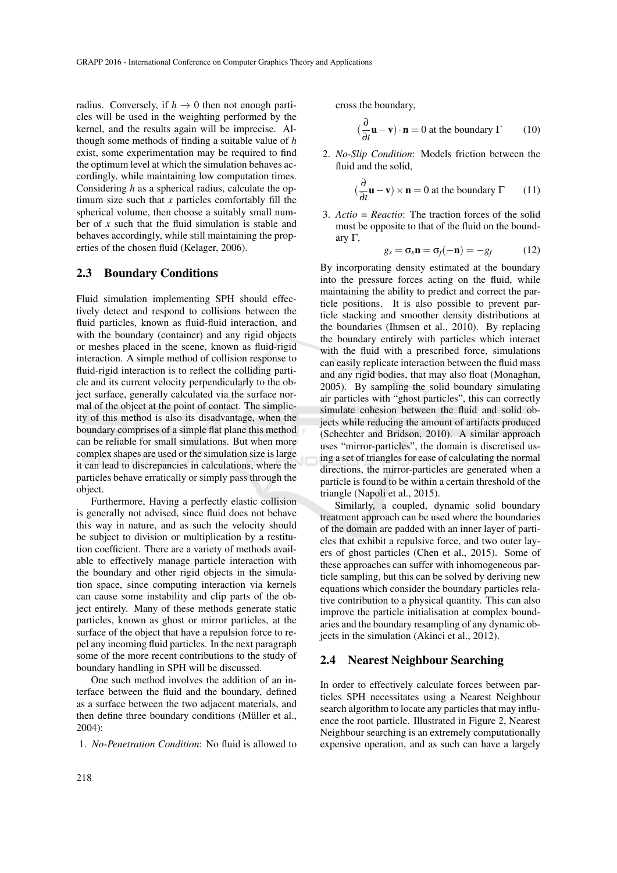radius. Conversely, if  $h \to 0$  then not enough particles will be used in the weighting performed by the kernel, and the results again will be imprecise. Although some methods of finding a suitable value of *h* exist, some experimentation may be required to find the optimum level at which the simulation behaves accordingly, while maintaining low computation times. Considering *h* as a spherical radius, calculate the optimum size such that *x* particles comfortably fill the spherical volume, then choose a suitably small number of *x* such that the fluid simulation is stable and behaves accordingly, while still maintaining the properties of the chosen fluid (Kelager, 2006).

#### 2.3 Boundary Conditions

Fluid simulation implementing SPH should effectively detect and respond to collisions between the fluid particles, known as fluid-fluid interaction, and with the boundary (container) and any rigid objects or meshes placed in the scene, known as fluid-rigid interaction. A simple method of collision response to fluid-rigid interaction is to reflect the colliding particle and its current velocity perpendicularly to the object surface, generally calculated via the surface normal of the object at the point of contact. The simplicity of this method is also its disadvantage, when the boundary comprises of a simple flat plane this method can be reliable for small simulations. But when more complex shapes are used or the simulation size is large it can lead to discrepancies in calculations, where the particles behave erratically or simply pass through the object.

Furthermore, Having a perfectly elastic collision is generally not advised, since fluid does not behave this way in nature, and as such the velocity should be subject to division or multiplication by a restitution coefficient. There are a variety of methods available to effectively manage particle interaction with the boundary and other rigid objects in the simulation space, since computing interaction via kernels can cause some instability and clip parts of the object entirely. Many of these methods generate static particles, known as ghost or mirror particles, at the surface of the object that have a repulsion force to repel any incoming fluid particles. In the next paragraph some of the more recent contributions to the study of boundary handling in SPH will be discussed.

One such method involves the addition of an interface between the fluid and the boundary, defined as a surface between the two adjacent materials, and then define three boundary conditions (Müller et al., 2004):

1. *No-Penetration Condition*: No fluid is allowed to

cross the boundary,

$$
\left(\frac{\partial}{\partial t}\mathbf{u} - \mathbf{v}\right) \cdot \mathbf{n} = 0 \text{ at the boundary } \Gamma \qquad (10)
$$

2. *No-Slip Condition*: Models friction between the fluid and the solid,

$$
\left(\frac{\partial}{\partial t}\mathbf{u} - \mathbf{v}\right) \times \mathbf{n} = 0 \text{ at the boundary } \Gamma \qquad (11)
$$

3. *Actio = Reactio*: The traction forces of the solid must be opposite to that of the fluid on the boundary Γ,

$$
g_s = \sigma_s \mathbf{n} = \sigma_f(-\mathbf{n}) = -g_f \tag{12}
$$

By incorporating density estimated at the boundary into the pressure forces acting on the fluid, while maintaining the ability to predict and correct the particle positions. It is also possible to prevent particle stacking and smoother density distributions at the boundaries (Ihmsen et al., 2010). By replacing the boundary entirely with particles which interact with the fluid with a prescribed force, simulations can easily replicate interaction between the fluid mass and any rigid bodies, that may also float (Monaghan, 2005). By sampling the solid boundary simulating air particles with "ghost particles", this can correctly simulate cohesion between the fluid and solid objects while reducing the amount of artifacts produced (Schechter and Bridson, 2010). A similar approach uses "mirror-particles", the domain is discretised using a set of triangles for ease of calculating the normal directions, the mirror-particles are generated when a particle is found to be within a certain threshold of the triangle (Napoli et al., 2015).

Similarly, a coupled, dynamic solid boundary treatment approach can be used where the boundaries of the domain are padded with an inner layer of particles that exhibit a repulsive force, and two outer layers of ghost particles (Chen et al., 2015). Some of these approaches can suffer with inhomogeneous particle sampling, but this can be solved by deriving new equations which consider the boundary particles relative contribution to a physical quantity. This can also improve the particle initialisation at complex boundaries and the boundary resampling of any dynamic objects in the simulation (Akinci et al., 2012).

#### 2.4 Nearest Neighbour Searching

In order to effectively calculate forces between particles SPH necessitates using a Nearest Neighbour search algorithm to locate any particles that may influence the root particle. Illustrated in Figure 2, Nearest Neighbour searching is an extremely computationally expensive operation, and as such can have a largely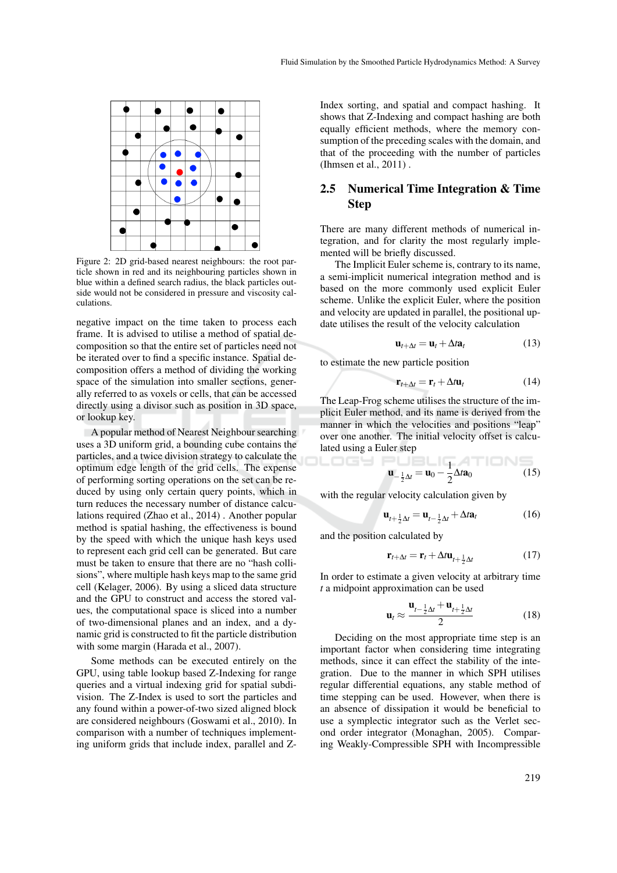

Figure 2: 2D grid-based nearest neighbours: the root particle shown in red and its neighbouring particles shown in blue within a defined search radius, the black particles outside would not be considered in pressure and viscosity calculations.

negative impact on the time taken to process each frame. It is advised to utilise a method of spatial decomposition so that the entire set of particles need not be iterated over to find a specific instance. Spatial decomposition offers a method of dividing the working space of the simulation into smaller sections, generally referred to as voxels or cells, that can be accessed directly using a divisor such as position in 3D space, or lookup key.

A popular method of Nearest Neighbour searching uses a 3D uniform grid, a bounding cube contains the particles, and a twice division strategy to calculate the optimum edge length of the grid cells. The expense of performing sorting operations on the set can be reduced by using only certain query points, which in turn reduces the necessary number of distance calculations required (Zhao et al., 2014) . Another popular method is spatial hashing, the effectiveness is bound by the speed with which the unique hash keys used to represent each grid cell can be generated. But care must be taken to ensure that there are no "hash collisions", where multiple hash keys map to the same grid cell (Kelager, 2006). By using a sliced data structure and the GPU to construct and access the stored values, the computational space is sliced into a number of two-dimensional planes and an index, and a dynamic grid is constructed to fit the particle distribution with some margin (Harada et al., 2007).

Some methods can be executed entirely on the GPU, using table lookup based Z-Indexing for range queries and a virtual indexing grid for spatial subdivision. The Z-Index is used to sort the particles and any found within a power-of-two sized aligned block are considered neighbours (Goswami et al., 2010). In comparison with a number of techniques implementing uniform grids that include index, parallel and Z-

Index sorting, and spatial and compact hashing. It shows that Z-Indexing and compact hashing are both equally efficient methods, where the memory consumption of the preceding scales with the domain, and that of the proceeding with the number of particles (Ihmsen et al., 2011) .

### 2.5 Numerical Time Integration & Time Step

There are many different methods of numerical integration, and for clarity the most regularly implemented will be briefly discussed.

The Implicit Euler scheme is, contrary to its name, a semi-implicit numerical integration method and is based on the more commonly used explicit Euler scheme. Unlike the explicit Euler, where the position and velocity are updated in parallel, the positional update utilises the result of the velocity calculation

$$
\mathbf{u}_{t+\Delta t} = \mathbf{u}_t + \Delta t \mathbf{a}_t \tag{13}
$$

to estimate the new particle position

$$
\mathbf{r}_{t+\Delta t} = \mathbf{r}_t + \Delta t \mathbf{u}_t \tag{14}
$$

The Leap-Frog scheme utilises the structure of the implicit Euler method, and its name is derived from the manner in which the velocities and positions "leap" over one another. The initial velocity offset is calculated using a Euler step

$$
\mathbf{u}_{-\frac{1}{2}\Delta t} = \mathbf{u}_0 - \frac{1}{2}\Delta t \mathbf{a}_0 \tag{15}
$$

with the regular velocity calculation given by

$$
\mathbf{u}_{t+\frac{1}{2}\Delta t} = \mathbf{u}_{t-\frac{1}{2}\Delta t} + \Delta t \mathbf{a}_t \tag{16}
$$

and the position calculated by

$$
\mathbf{r}_{t+\Delta t} = \mathbf{r}_t + \Delta t \mathbf{u}_{t+\frac{1}{2}\Delta t} \tag{17}
$$

In order to estimate a given velocity at arbitrary time *t* a midpoint approximation can be used

$$
\mathbf{u}_t \approx \frac{\mathbf{u}_{t-\frac{1}{2}\Delta t} + \mathbf{u}_{t+\frac{1}{2}\Delta t}}{2} \tag{18}
$$

Deciding on the most appropriate time step is an important factor when considering time integrating methods, since it can effect the stability of the integration. Due to the manner in which SPH utilises regular differential equations, any stable method of time stepping can be used. However, when there is an absence of dissipation it would be beneficial to use a symplectic integrator such as the Verlet second order integrator (Monaghan, 2005). Comparing Weakly-Compressible SPH with Incompressible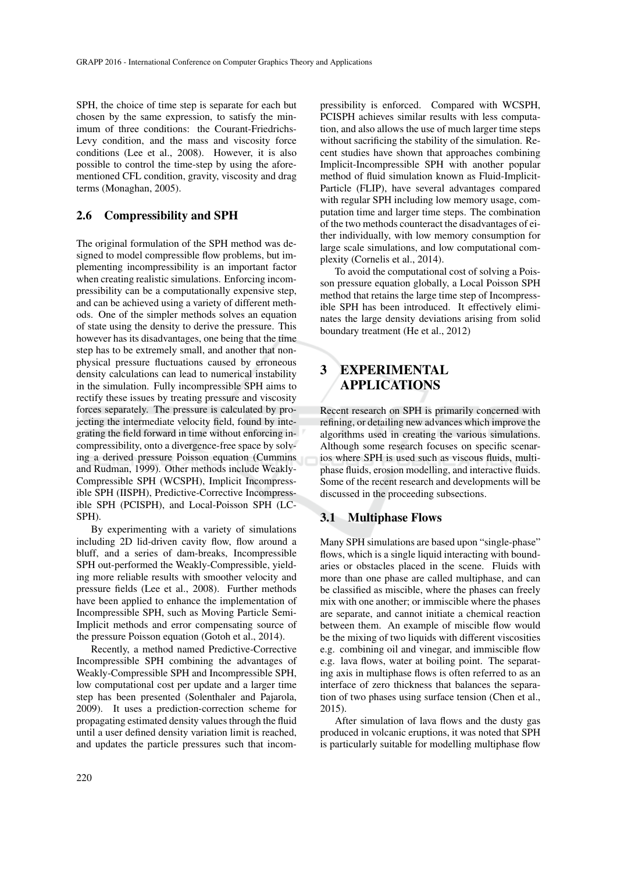SPH, the choice of time step is separate for each but chosen by the same expression, to satisfy the minimum of three conditions: the Courant-Friedrichs-Levy condition, and the mass and viscosity force conditions (Lee et al., 2008). However, it is also possible to control the time-step by using the aforementioned CFL condition, gravity, viscosity and drag terms (Monaghan, 2005).

#### 2.6 Compressibility and SPH

The original formulation of the SPH method was designed to model compressible flow problems, but implementing incompressibility is an important factor when creating realistic simulations. Enforcing incompressibility can be a computationally expensive step, and can be achieved using a variety of different methods. One of the simpler methods solves an equation of state using the density to derive the pressure. This however has its disadvantages, one being that the time step has to be extremely small, and another that nonphysical pressure fluctuations caused by erroneous density calculations can lead to numerical instability in the simulation. Fully incompressible SPH aims to rectify these issues by treating pressure and viscosity forces separately. The pressure is calculated by projecting the intermediate velocity field, found by integrating the field forward in time without enforcing incompressibility, onto a divergence-free space by solving a derived pressure Poisson equation (Cummins and Rudman, 1999). Other methods include Weakly-Compressible SPH (WCSPH), Implicit Incompressible SPH (IISPH), Predictive-Corrective Incompressible SPH (PCISPH), and Local-Poisson SPH (LC-SPH).

By experimenting with a variety of simulations including 2D lid-driven cavity flow, flow around a bluff, and a series of dam-breaks, Incompressible SPH out-performed the Weakly-Compressible, yielding more reliable results with smoother velocity and pressure fields (Lee et al., 2008). Further methods have been applied to enhance the implementation of Incompressible SPH, such as Moving Particle Semi-Implicit methods and error compensating source of the pressure Poisson equation (Gotoh et al., 2014).

Recently, a method named Predictive-Corrective Incompressible SPH combining the advantages of Weakly-Compressible SPH and Incompressible SPH, low computational cost per update and a larger time step has been presented (Solenthaler and Pajarola, 2009). It uses a prediction-correction scheme for propagating estimated density values through the fluid until a user defined density variation limit is reached, and updates the particle pressures such that incom-

pressibility is enforced. Compared with WCSPH, PCISPH achieves similar results with less computation, and also allows the use of much larger time steps without sacrificing the stability of the simulation. Recent studies have shown that approaches combining Implicit-Incompressible SPH with another popular method of fluid simulation known as Fluid-Implicit-Particle (FLIP), have several advantages compared with regular SPH including low memory usage, computation time and larger time steps. The combination of the two methods counteract the disadvantages of either individually, with low memory consumption for large scale simulations, and low computational complexity (Cornelis et al., 2014).

To avoid the computational cost of solving a Poisson pressure equation globally, a Local Poisson SPH method that retains the large time step of Incompressible SPH has been introduced. It effectively eliminates the large density deviations arising from solid boundary treatment (He et al., 2012)

## 3 EXPERIMENTAL APPLICATIONS

Recent research on SPH is primarily concerned with refining, or detailing new advances which improve the algorithms used in creating the various simulations. Although some research focuses on specific scenarios where SPH is used such as viscous fluids, multiphase fluids, erosion modelling, and interactive fluids. Some of the recent research and developments will be discussed in the proceeding subsections.

#### 3.1 Multiphase Flows

Many SPH simulations are based upon "single-phase" flows, which is a single liquid interacting with boundaries or obstacles placed in the scene. Fluids with more than one phase are called multiphase, and can be classified as miscible, where the phases can freely mix with one another; or immiscible where the phases are separate, and cannot initiate a chemical reaction between them. An example of miscible flow would be the mixing of two liquids with different viscosities e.g. combining oil and vinegar, and immiscible flow e.g. lava flows, water at boiling point. The separating axis in multiphase flows is often referred to as an interface of zero thickness that balances the separation of two phases using surface tension (Chen et al., 2015).

After simulation of lava flows and the dusty gas produced in volcanic eruptions, it was noted that SPH is particularly suitable for modelling multiphase flow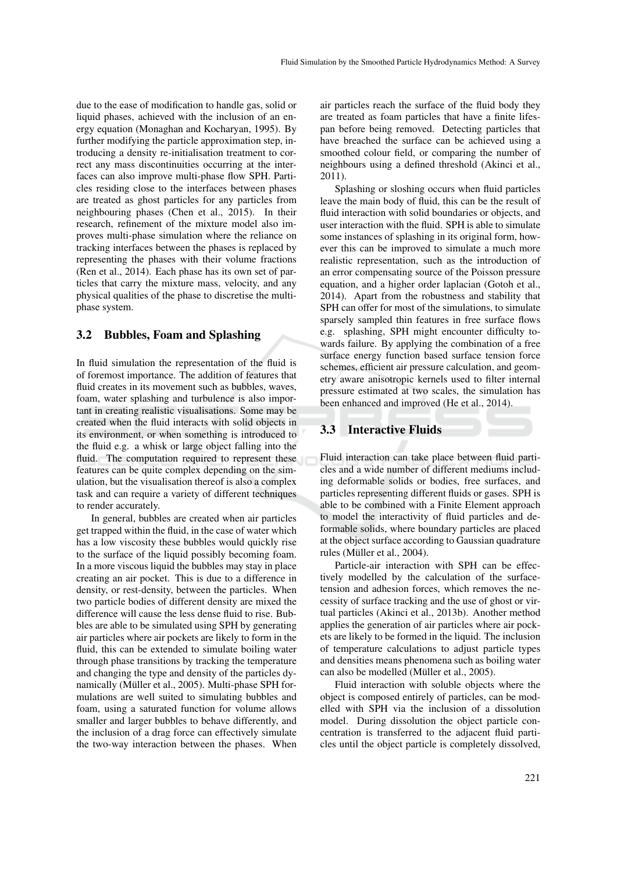due to the ease of modification to handle gas, solid or liquid phases, achieved with the inclusion of an energy equation (Monaghan and Kocharyan, 1995). By further modifying the particle approximation step, introducing a density re-initialisation treatment to correct any mass discontinuities occurring at the interfaces can also improve multi-phase flow SPH. Particles residing close to the interfaces between phases are treated as ghost particles for any particles from neighbouring phases (Chen et al., 2015). In their research, refinement of the mixture model also improves multi-phase simulation where the reliance on tracking interfaces between the phases is replaced by representing the phases with their volume fractions (Ren et al., 2014). Each phase has its own set of particles that carry the mixture mass, velocity, and any physical qualities of the phase to discretise the multiphase system.

#### 3.2 Bubbles, Foam and Splashing

In fluid simulation the representation of the fluid is of foremost importance. The addition of features that fluid creates in its movement such as bubbles, waves, foam, water splashing and turbulence is also important in creating realistic visualisations. Some may be created when the fluid interacts with solid objects in its environment, or when something is introduced to the fluid e.g. a whisk or large object falling into the fluid. The computation required to represent these features can be quite complex depending on the simulation, but the visualisation thereof is also a complex task and can require a variety of different techniques to render accurately.

In general, bubbles are created when air particles get trapped within the fluid, in the case of water which has a low viscosity these bubbles would quickly rise to the surface of the liquid possibly becoming foam. In a more viscous liquid the bubbles may stay in place creating an air pocket. This is due to a difference in density, or rest-density, between the particles. When two particle bodies of different density are mixed the difference will cause the less dense fluid to rise. Bubbles are able to be simulated using SPH by generating air particles where air pockets are likely to form in the fluid, this can be extended to simulate boiling water through phase transitions by tracking the temperature and changing the type and density of the particles dynamically (Müller et al., 2005). Multi-phase SPH formulations are well suited to simulating bubbles and foam, using a saturated function for volume allows smaller and larger bubbles to behave differently, and the inclusion of a drag force can effectively simulate the two-way interaction between the phases. When

air particles reach the surface of the fluid body they are treated as foam particles that have a finite lifespan before being removed. Detecting particles that have breached the surface can be achieved using a smoothed colour field, or comparing the number of neighbours using a defined threshold (Akinci et al., 2011).

Splashing or sloshing occurs when fluid particles leave the main body of fluid, this can be the result of fluid interaction with solid boundaries or objects, and user interaction with the fluid. SPH is able to simulate some instances of splashing in its original form, however this can be improved to simulate a much more realistic representation, such as the introduction of an error compensating source of the Poisson pressure equation, and a higher order laplacian (Gotoh et al., 2014). Apart from the robustness and stability that SPH can offer for most of the simulations, to simulate sparsely sampled thin features in free surface flows e.g. splashing, SPH might encounter difficulty towards failure. By applying the combination of a free surface energy function based surface tension force schemes, efficient air pressure calculation, and geometry aware anisotropic kernels used to filter internal pressure estimated at two scales, the simulation has been enhanced and improved (He et al., 2014).

### 3.3 Interactive Fluids

Fluid interaction can take place between fluid particles and a wide number of different mediums including deformable solids or bodies, free surfaces, and particles representing different fluids or gases. SPH is able to be combined with a Finite Element approach to model the interactivity of fluid particles and deformable solids, where boundary particles are placed at the object surface according to Gaussian quadrature rules (Müller et al., 2004).

Particle-air interaction with SPH can be effectively modelled by the calculation of the surfacetension and adhesion forces, which removes the necessity of surface tracking and the use of ghost or virtual particles (Akinci et al., 2013b). Another method applies the generation of air particles where air pockets are likely to be formed in the liquid. The inclusion of temperature calculations to adjust particle types and densities means phenomena such as boiling water can also be modelled (Müller et al., 2005).

Fluid interaction with soluble objects where the object is composed entirely of particles, can be modelled with SPH via the inclusion of a dissolution model. During dissolution the object particle concentration is transferred to the adjacent fluid particles until the object particle is completely dissolved,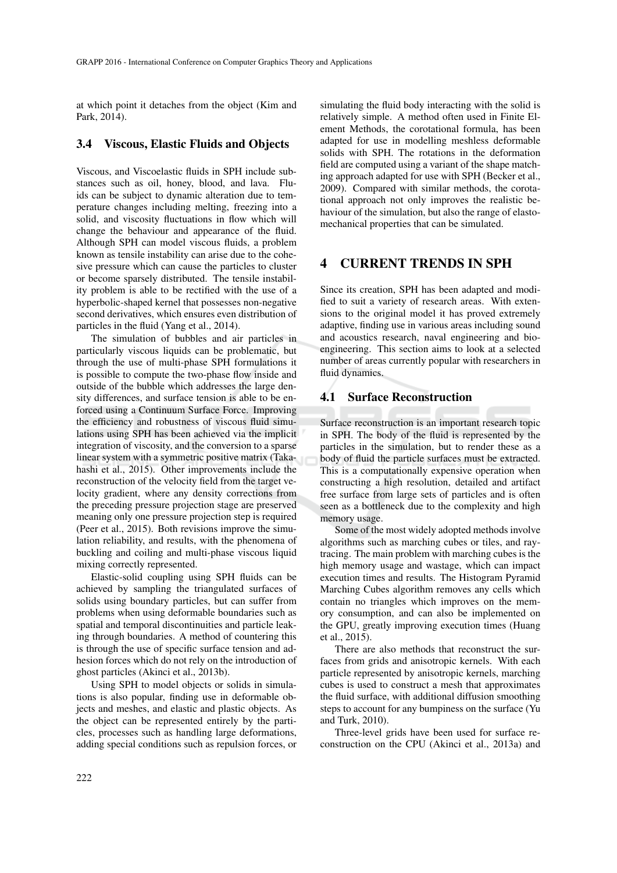at which point it detaches from the object (Kim and Park, 2014).

#### 3.4 Viscous, Elastic Fluids and Objects

Viscous, and Viscoelastic fluids in SPH include substances such as oil, honey, blood, and lava. Fluids can be subject to dynamic alteration due to temperature changes including melting, freezing into a solid, and viscosity fluctuations in flow which will change the behaviour and appearance of the fluid. Although SPH can model viscous fluids, a problem known as tensile instability can arise due to the cohesive pressure which can cause the particles to cluster or become sparsely distributed. The tensile instability problem is able to be rectified with the use of a hyperbolic-shaped kernel that possesses non-negative second derivatives, which ensures even distribution of particles in the fluid (Yang et al., 2014).

The simulation of bubbles and air particles in particularly viscous liquids can be problematic, but through the use of multi-phase SPH formulations it is possible to compute the two-phase flow inside and outside of the bubble which addresses the large density differences, and surface tension is able to be enforced using a Continuum Surface Force. Improving the efficiency and robustness of viscous fluid simulations using SPH has been achieved via the implicit integration of viscosity, and the conversion to a sparse linear system with a symmetric positive matrix (Takahashi et al., 2015). Other improvements include the reconstruction of the velocity field from the target velocity gradient, where any density corrections from the preceding pressure projection stage are preserved meaning only one pressure projection step is required (Peer et al., 2015). Both revisions improve the simulation reliability, and results, with the phenomena of buckling and coiling and multi-phase viscous liquid mixing correctly represented.

Elastic-solid coupling using SPH fluids can be achieved by sampling the triangulated surfaces of solids using boundary particles, but can suffer from problems when using deformable boundaries such as spatial and temporal discontinuities and particle leaking through boundaries. A method of countering this is through the use of specific surface tension and adhesion forces which do not rely on the introduction of ghost particles (Akinci et al., 2013b).

Using SPH to model objects or solids in simulations is also popular, finding use in deformable objects and meshes, and elastic and plastic objects. As the object can be represented entirely by the particles, processes such as handling large deformations, adding special conditions such as repulsion forces, or

simulating the fluid body interacting with the solid is relatively simple. A method often used in Finite Element Methods, the corotational formula, has been adapted for use in modelling meshless deformable solids with SPH. The rotations in the deformation field are computed using a variant of the shape matching approach adapted for use with SPH (Becker et al., 2009). Compared with similar methods, the corotational approach not only improves the realistic behaviour of the simulation, but also the range of elastomechanical properties that can be simulated.

## 4 CURRENT TRENDS IN SPH

Since its creation, SPH has been adapted and modified to suit a variety of research areas. With extensions to the original model it has proved extremely adaptive, finding use in various areas including sound and acoustics research, naval engineering and bioengineering. This section aims to look at a selected number of areas currently popular with researchers in fluid dynamics.

#### 4.1 Surface Reconstruction

Surface reconstruction is an important research topic in SPH. The body of the fluid is represented by the particles in the simulation, but to render these as a body of fluid the particle surfaces must be extracted. This is a computationally expensive operation when constructing a high resolution, detailed and artifact free surface from large sets of particles and is often seen as a bottleneck due to the complexity and high memory usage.

Some of the most widely adopted methods involve algorithms such as marching cubes or tiles, and raytracing. The main problem with marching cubes is the high memory usage and wastage, which can impact execution times and results. The Histogram Pyramid Marching Cubes algorithm removes any cells which contain no triangles which improves on the memory consumption, and can also be implemented on the GPU, greatly improving execution times (Huang et al., 2015).

There are also methods that reconstruct the surfaces from grids and anisotropic kernels. With each particle represented by anisotropic kernels, marching cubes is used to construct a mesh that approximates the fluid surface, with additional diffusion smoothing steps to account for any bumpiness on the surface (Yu and Turk, 2010).

Three-level grids have been used for surface reconstruction on the CPU (Akinci et al., 2013a) and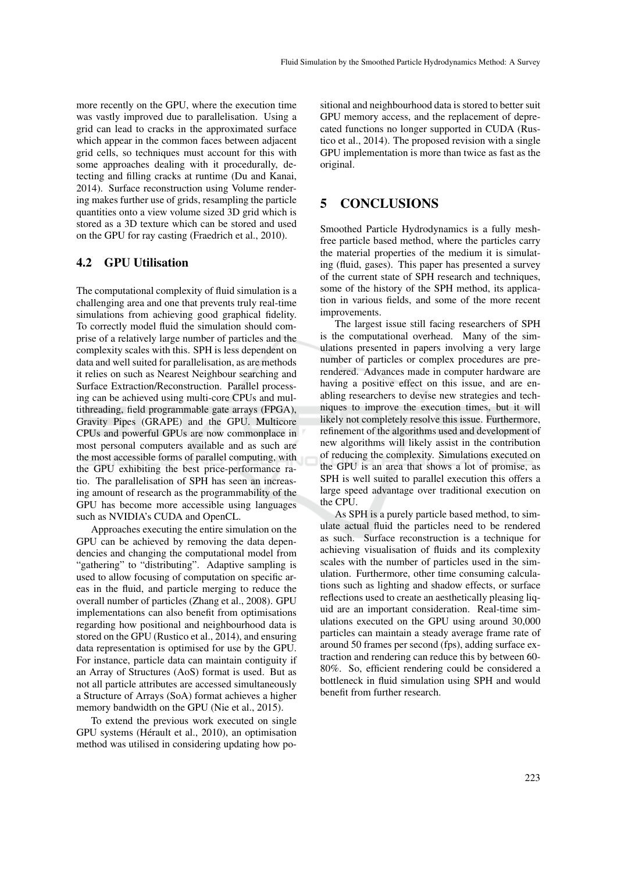more recently on the GPU, where the execution time was vastly improved due to parallelisation. Using a grid can lead to cracks in the approximated surface which appear in the common faces between adjacent grid cells, so techniques must account for this with some approaches dealing with it procedurally, detecting and filling cracks at runtime (Du and Kanai, 2014). Surface reconstruction using Volume rendering makes further use of grids, resampling the particle quantities onto a view volume sized 3D grid which is stored as a 3D texture which can be stored and used on the GPU for ray casting (Fraedrich et al., 2010).

#### 4.2 GPU Utilisation

The computational complexity of fluid simulation is a challenging area and one that prevents truly real-time simulations from achieving good graphical fidelity. To correctly model fluid the simulation should comprise of a relatively large number of particles and the complexity scales with this. SPH is less dependent on data and well suited for parallelisation, as are methods it relies on such as Nearest Neighbour searching and Surface Extraction/Reconstruction. Parallel processing can be achieved using multi-core CPUs and multithreading, field programmable gate arrays (FPGA), Gravity Pipes (GRAPE) and the GPU. Multicore CPUs and powerful GPUs are now commonplace in most personal computers available and as such are the most accessible forms of parallel computing, with the GPU exhibiting the best price-performance ratio. The parallelisation of SPH has seen an increasing amount of research as the programmability of the GPU has become more accessible using languages such as NVIDIA's CUDA and OpenCL.

Approaches executing the entire simulation on the GPU can be achieved by removing the data dependencies and changing the computational model from "gathering" to "distributing". Adaptive sampling is used to allow focusing of computation on specific areas in the fluid, and particle merging to reduce the overall number of particles (Zhang et al., 2008). GPU implementations can also benefit from optimisations regarding how positional and neighbourhood data is stored on the GPU (Rustico et al., 2014), and ensuring data representation is optimised for use by the GPU. For instance, particle data can maintain contiguity if an Array of Structures (AoS) format is used. But as not all particle attributes are accessed simultaneously a Structure of Arrays (SoA) format achieves a higher memory bandwidth on the GPU (Nie et al., 2015).

To extend the previous work executed on single GPU systems (Hérault et al., 2010), an optimisation method was utilised in considering updating how po-

sitional and neighbourhood data is stored to better suit GPU memory access, and the replacement of deprecated functions no longer supported in CUDA (Rustico et al., 2014). The proposed revision with a single GPU implementation is more than twice as fast as the original.

### 5 CONCLUSIONS

Smoothed Particle Hydrodynamics is a fully meshfree particle based method, where the particles carry the material properties of the medium it is simulating (fluid, gases). This paper has presented a survey of the current state of SPH research and techniques, some of the history of the SPH method, its application in various fields, and some of the more recent improvements.

The largest issue still facing researchers of SPH is the computational overhead. Many of the simulations presented in papers involving a very large number of particles or complex procedures are prerendered. Advances made in computer hardware are having a positive effect on this issue, and are enabling researchers to devise new strategies and techniques to improve the execution times, but it will likely not completely resolve this issue. Furthermore, refinement of the algorithms used and development of new algorithms will likely assist in the contribution of reducing the complexity. Simulations executed on the GPU is an area that shows a lot of promise, as SPH is well suited to parallel execution this offers a large speed advantage over traditional execution on the CPU.

As SPH is a purely particle based method, to simulate actual fluid the particles need to be rendered as such. Surface reconstruction is a technique for achieving visualisation of fluids and its complexity scales with the number of particles used in the simulation. Furthermore, other time consuming calculations such as lighting and shadow effects, or surface reflections used to create an aesthetically pleasing liquid are an important consideration. Real-time simulations executed on the GPU using around 30,000 particles can maintain a steady average frame rate of around 50 frames per second (fps), adding surface extraction and rendering can reduce this by between 60- 80%. So, efficient rendering could be considered a bottleneck in fluid simulation using SPH and would benefit from further research.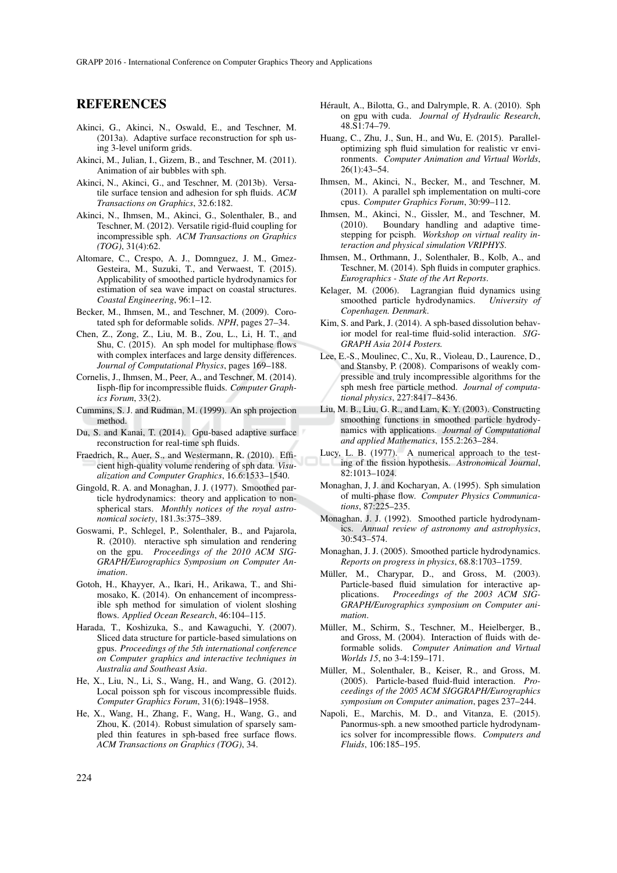### REFERENCES

- Akinci, G., Akinci, N., Oswald, E., and Teschner, M. (2013a). Adaptive surface reconstruction for sph using 3-level uniform grids.
- Akinci, M., Julian, I., Gizem, B., and Teschner, M. (2011). Animation of air bubbles with sph.
- Akinci, N., Akinci, G., and Teschner, M. (2013b). Versatile surface tension and adhesion for sph fluids. *ACM Transactions on Graphics*, 32.6:182.
- Akinci, N., Ihmsen, M., Akinci, G., Solenthaler, B., and Teschner, M. (2012). Versatile rigid-fluid coupling for incompressible sph. *ACM Transactions on Graphics (TOG)*, 31(4):62.
- Altomare, C., Crespo, A. J., Domnguez, J. M., Gmez-Gesteira, M., Suzuki, T., and Verwaest, T. (2015). Applicability of smoothed particle hydrodynamics for estimation of sea wave impact on coastal structures. *Coastal Engineering*, 96:1–12.
- Becker, M., Ihmsen, M., and Teschner, M. (2009). Corotated sph for deformable solids. *NPH*, pages 27–34.
- Chen, Z., Zong, Z., Liu, M. B., Zou, L., Li, H. T., and Shu, C. (2015). An sph model for multiphase flows with complex interfaces and large density differences. *Journal of Computational Physics*, pages 169–188.
- Cornelis, J., Ihmsen, M., Peer, A., and Teschner, M. (2014). Iisph-flip for incompressible fluids. *Computer Graphics Forum*, 33(2).
- Cummins, S. J. and Rudman, M. (1999). An sph projection method.
- Du, S. and Kanai, T. (2014). Gpu-based adaptive surface reconstruction for real-time sph fluids.
- Fraedrich, R., Auer, S., and Westermann, R. (2010). Efficient high-quality volume rendering of sph data. *Visualization and Computer Graphics*, 16.6:1533–1540.
- Gingold, R. A. and Monaghan, J. J. (1977). Smoothed particle hydrodynamics: theory and application to nonspherical stars. *Monthly notices of the royal astronomical society*, 181.3s:375–389.
- Goswami, P., Schlegel, P., Solenthaler, B., and Pajarola, R. (2010). nteractive sph simulation and rendering on the gpu. *Proceedings of the 2010 ACM SIG-GRAPH/Eurographics Symposium on Computer Animation*.
- Gotoh, H., Khayyer, A., Ikari, H., Arikawa, T., and Shimosako, K. (2014). On enhancement of incompressible sph method for simulation of violent sloshing flows. *Applied Ocean Research*, 46:104–115.
- Harada, T., Koshizuka, S., and Kawaguchi, Y. (2007). Sliced data structure for particle-based simulations on gpus. *Proceedings of the 5th international conference on Computer graphics and interactive techniques in Australia and Southeast Asia*.
- He, X., Liu, N., Li, S., Wang, H., and Wang, G. (2012). Local poisson sph for viscous incompressible fluids. *Computer Graphics Forum*, 31(6):1948–1958.
- He, X., Wang, H., Zhang, F., Wang, H., Wang, G., and Zhou, K. (2014). Robust simulation of sparsely sampled thin features in sph-based free surface flows. *ACM Transactions on Graphics (TOG)*, 34.
- Hérault, A., Bilotta, G., and Dalrymple, R. A. (2010). Sph on gpu with cuda. *Journal of Hydraulic Research*, 48.S1:74–79.
- Huang, C., Zhu, J., Sun, H., and Wu, E. (2015). Paralleloptimizing sph fluid simulation for realistic vr environments. *Computer Animation and Virtual Worlds*, 26(1):43–54.
- Ihmsen, M., Akinci, N., Becker, M., and Teschner, M. (2011). A parallel sph implementation on multi-core cpus. *Computer Graphics Forum*, 30:99–112.
- Ihmsen, M., Akinci, N., Gissler, M., and Teschner, M. (2010). Boundary handling and adaptive timestepping for pcisph. *Workshop on virtual reality interaction and physical simulation VRIPHYS*.
- Ihmsen, M., Orthmann, J., Solenthaler, B., Kolb, A., and Teschner, M. (2014). Sph fluids in computer graphics. *Eurographics - State of the Art Reports*.
- Kelager, M. (2006). Lagrangian fluid dynamics using smoothed particle hydrodynamics. *University of Copenhagen. Denmark*.
- Kim, S. and Park, J. (2014). A sph-based dissolution behavior model for real-time fluid-solid interaction. *SIG-GRAPH Asia 2014 Posters.*
- Lee, E.-S., Moulinec, C., Xu, R., Violeau, D., Laurence, D., and Stansby, P. (2008). Comparisons of weakly compressible and truly incompressible algorithms for the sph mesh free particle method. *Journal of computational physics*, 227:8417–8436.
- Liu, M. B., Liu, G. R., and Lam, K. Y. (2003). Constructing smoothing functions in smoothed particle hydrodynamics with applications. *Journal of Computational and applied Mathematics*, 155.2:263–284.
- Lucy, L. B. (1977). A numerical approach to the testing of the fission hypothesis. *Astronomical Journal*, 82:1013–1024.
- Monaghan, J, J. and Kocharyan, A. (1995). Sph simulation of multi-phase flow. *Computer Physics Communications*, 87:225–235.
- Monaghan, J. J. (1992). Smoothed particle hydrodynamics. *Annual review of astronomy and astrophysics*, 30:543–574.
- Monaghan, J. J. (2005). Smoothed particle hydrodynamics. *Reports on progress in physics*, 68.8:1703–1759.
- Müller, M., Charypar, D., and Gross, M. (2003). Particle-based fluid simulation for interactive applications. *Proceedings of the 2003 ACM SIG-GRAPH/Eurographics symposium on Computer animation*.
- Müller, M., Schirm, S., Teschner, M., Heielberger, B., and Gross, M. (2004). Interaction of fluids with deformable solids. *Computer Animation and Virtual Worlds 15*, no 3-4:159–171.
- Müller, M., Solenthaler, B., Keiser, R., and Gross, M. (2005). Particle-based fluid-fluid interaction. *Proceedings of the 2005 ACM SIGGRAPH/Eurographics symposium on Computer animation*, pages 237–244.
- Napoli, E., Marchis, M. D., and Vitanza, E. (2015). Panormus-sph. a new smoothed particle hydrodynamics solver for incompressible flows. *Computers and Fluids*, 106:185–195.